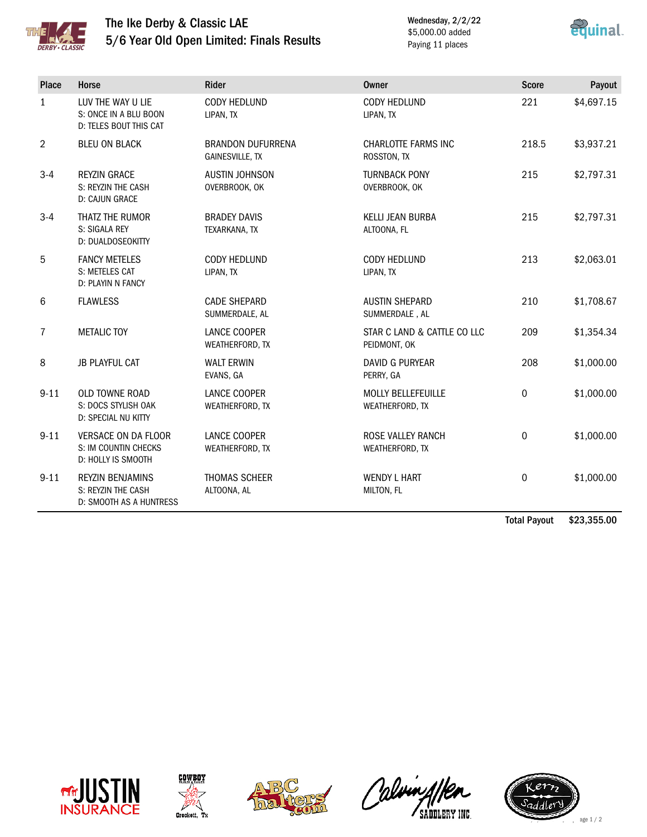

## The Ike Derby & Classic LAE 5/6 Year Old Open Limited: Finals Results

Wednesday, 2/2/22 \$5,000.00 added Paying 11 places



| <b>Place</b>   | Horse                                                                    | <b>Rider</b>                                       | <b>Owner</b>                                 | <b>Score</b> | Payout     |
|----------------|--------------------------------------------------------------------------|----------------------------------------------------|----------------------------------------------|--------------|------------|
| $\mathbf{1}$   | LUV THE WAY U LIE<br>S: ONCE IN A BLU BOON<br>D: TELES BOUT THIS CAT     | CODY HEDLUND<br>LIPAN, TX                          | CODY HEDLUND<br>LIPAN, TX                    | 221          | \$4,697.15 |
| $\overline{2}$ | <b>BLEU ON BLACK</b>                                                     | <b>BRANDON DUFURRENA</b><br><b>GAINESVILLE, TX</b> | CHARLOTTE FARMS INC<br>ROSSTON, TX           | 218.5        | \$3,937.21 |
| $3-4$          | <b>REYZIN GRACE</b><br>S: REYZIN THE CASH<br>D: CAJUN GRACE              | <b>AUSTIN JOHNSON</b><br>OVERBROOK, OK             | <b>TURNBACK PONY</b><br>OVERBROOK, OK        | 215          | \$2,797.31 |
| $3 - 4$        | THATZ THE RUMOR<br>S: SIGALA REY<br>D: DUALDOSEOKITTY                    | <b>BRADEY DAVIS</b><br>TEXARKANA, TX               | <b>KELLI JEAN BURBA</b><br>ALTOONA, FL       | 215          | \$2,797.31 |
| 5              | <b>FANCY METELES</b><br>S: METELES CAT<br>D: PLAYIN N FANCY              | CODY HEDLUND<br>LIPAN, TX                          | CODY HEDLUND<br>LIPAN, TX                    | 213          | \$2,063.01 |
| 6              | <b>FLAWLESS</b>                                                          | <b>CADE SHEPARD</b><br>SUMMERDALE, AL              | <b>AUSTIN SHEPARD</b><br>SUMMERDALE, AL      | 210          | \$1,708.67 |
| $\overline{7}$ | <b>METALIC TOY</b>                                                       | LANCE COOPER<br>WEATHERFORD, TX                    | STAR C LAND & CATTLE CO LLC<br>PEIDMONT, OK  | 209          | \$1,354.34 |
| 8              | <b>JB PLAYFUL CAT</b>                                                    | <b>WALT ERWIN</b><br>EVANS, GA                     | <b>DAVID G PURYEAR</b><br>PERRY, GA          | 208          | \$1,000.00 |
| $9 - 11$       | OLD TOWNE ROAD<br>S: DOCS STYLISH OAK<br>D: SPECIAL NU KITTY             | LANCE COOPER<br>WEATHERFORD, TX                    | <b>MOLLY BELLEFEUILLE</b><br>WEATHERFORD, TX | 0            | \$1,000.00 |
| $9 - 11$       | <b>VERSACE ON DA FLOOR</b><br>S: IM COUNTIN CHECKS<br>D: HOLLY IS SMOOTH | LANCE COOPER<br>WEATHERFORD, TX                    | ROSE VALLEY RANCH<br>WEATHERFORD, TX         | 0            | \$1,000.00 |
| $9 - 11$       | <b>REYZIN BENJAMINS</b><br>S: REYZIN THE CASH<br>D: SMOOTH AS A HUNTRESS | THOMAS SCHEER<br>ALTOONA, AL                       | <b>WENDY L HART</b><br>MILTON, FL            | 0            | \$1,000.00 |

Total Payout \$23,355.00